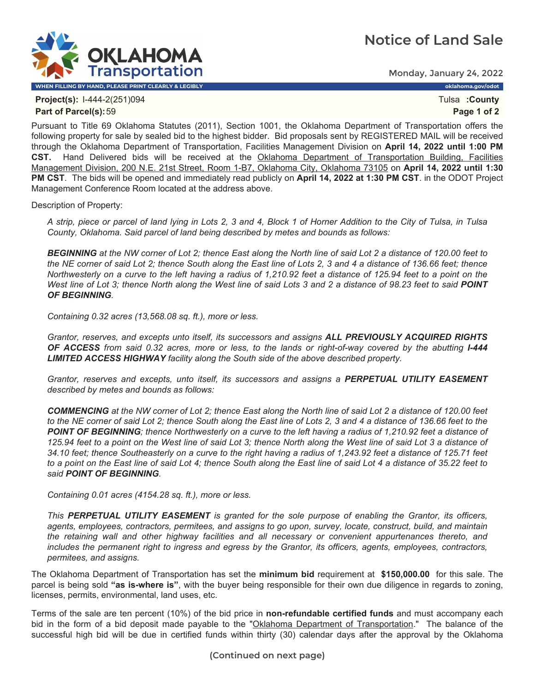## **Notice of Land Sale**



Monday, January 24, 2022

**Project(s):** I-444-2(251)094 Tulsa **:County Part of Parcel(s):**59 **Page 1 of 2**

Pursuant to Title 69 Oklahoma Statutes (2011), Section 1001, the Oklahoma Department of Transportation offers the following property for sale by sealed bid to the highest bidder. Bid proposals sent by REGISTERED MAIL will be received through the Oklahoma Department of Transportation, Facilities Management Division on **April 14, 2022 until 1:00 PM CST.** Hand Delivered bids will be received at the Oklahoma Department of Transportation Building, Facilities Management Division, 200 N.E. 21st Street, Room 1-B7, Oklahoma City, Oklahoma 73105 on **April 14, 2022 until 1:30 PM CST**. The bids will be opened and immediately read publicly on **April 14, 2022 at 1:30 PM CST**. in the ODOT Project Management Conference Room located at the address above.

Description of Property:

*A strip, piece or parcel of land lying in Lots 2, 3 and 4, Block 1 of Horner Addition to the City of Tulsa, in Tulsa County, Oklahoma. Said parcel of land being described by metes and bounds as follows:* 

*BEGINNING at the NW corner of Lot 2; thence East along the North line of said Lot 2 a distance of 120.00 feet to the NE corner of said Lot 2; thence South along the East line of Lots 2, 3 and 4 a distance of 136.66 feet; thence Northwesterly on a curve to the left having a radius of 1,210.92 feet a distance of 125.94 feet to a point on the West line of Lot 3; thence North along the West line of said Lots 3 and 2 a distance of 98.23 feet to said POINT OF BEGINNING.* 

*Containing 0.32 acres (13,568.08 sq. ft.), more or less.* 

*Grantor, reserves, and excepts unto itself, its successors and assigns ALL PREVIOUSLY ACQUIRED RIGHTS OF ACCESS from said 0.32 acres, more or less, to the lands or right-of-way covered by the abutting I-444 LIMITED ACCESS HIGHWAY facility along the South side of the above described property.* 

*Grantor, reserves and excepts, unto itself, its successors and assigns a PERPETUAL UTILITY EASEMENT described by metes and bounds as follows:* 

*COMMENCING at the NW corner of Lot 2; thence East along the North line of said Lot 2 a distance of 120.00 feet to the NE corner of said Lot 2; thence South along the East line of Lots 2, 3 and 4 a distance of 136.66 feet to the*  **POINT OF BEGINNING**; thence Northwesterly on a curve to the left having a radius of 1,210.92 feet a distance of 125.94 feet to a point on the West line of said Lot 3; thence North along the West line of said Lot 3 a distance of *34.10 feet; thence Southeasterly on a curve to the right having a radius of 1,243.92 feet a distance of 125.71 feet to a point on the East line of said Lot 4; thence South along the East line of said Lot 4 a distance of 35.22 feet to said POINT OF BEGINNING.* 

*Containing 0.01 acres (4154.28 sq. ft.), more or less.* 

*This PERPETUAL UTILITY EASEMENT is granted for the sole purpose of enabling the Grantor, its officers, agents, employees, contractors, permitees, and assigns to go upon, survey, locate, construct, build, and maintain the retaining wall and other highway facilities and all necessary or convenient appurtenances thereto, and includes the permanent right to ingress and egress by the Grantor, its officers, agents, employees, contractors, permitees, and assigns.*

The Oklahoma Department of Transportation has set the **minimum bid** requirement at **\$150,000.00** for this sale. The parcel is being sold **"as is-where is"**, with the buyer being responsible for their own due diligence in regards to zoning, licenses, permits, environmental, land uses, etc.

Terms of the sale are ten percent (10%) of the bid price in **non-refundable certified funds** and must accompany each bid in the form of a bid deposit made payable to the "Oklahoma Department of Transportation." The balance of the successful high bid will be due in certified funds within thirty (30) calendar days after the approval by the Oklahoma